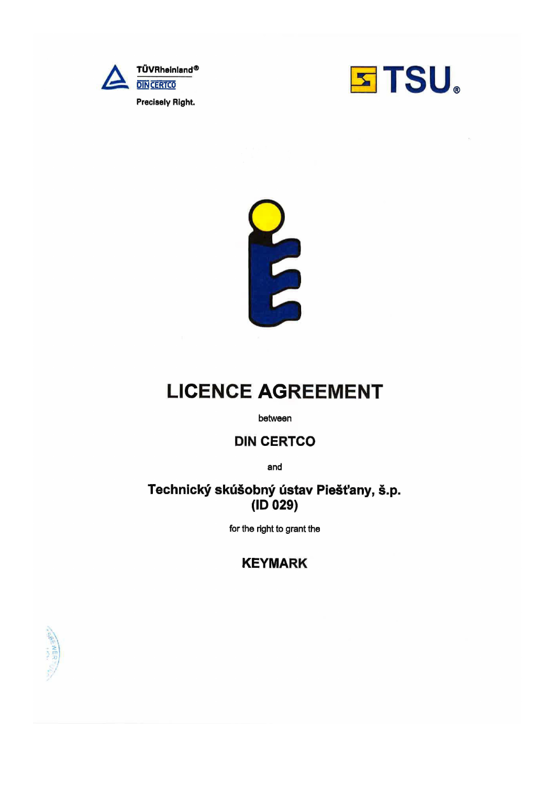





# **LICENCE AGREEMENT**

between

## **DIN CERTCO**

and

### Technický skúšobný ústav Piešťany, š.p.  $(ID 029)$

for the right to grant the

## **KEYMARK**

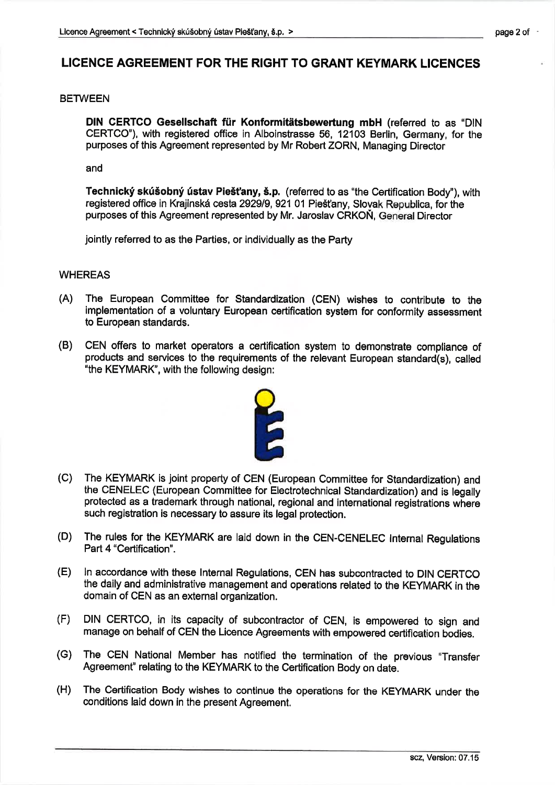### LICENCE AGREEMENT FOR THE RIGHT TO GRANT KEYMARK LICENCES

#### **BETWEEN**

DlN cERTCo GeselIschaft fúr Konformitätsbewertung mbH (referred to as "DlN CERTCO"), with registered office in Alboinstrasse 56, 12103 Berlln, Germany, for the purposes of this Agreement represented by Mr Robert ZORN, Managing Director

and

Technický skúšobný ústav Piešťany, š.p. (referred to as "the Certification Body"), with registered office in Krajinská cesta 2929/9, 921 01 Piešťany, Slovak Republica, for the purposes of this Agreement represented by Mr. Jaroslav CRKON, General Director

jointly referred to as the Parties, or individually as the Party

#### WHEREAS

- (A) The European Committee for Standardization (CEN) wishes to oontribute to the implementation of a voluntary European certification system for conformity assessment to European standards
- (B) CEN offers to market operators a certification system to demonstrate comptiance of products and services to the requirements of the relevant European standard(s), called "the KEYMARK', with the following design:



- (C) The KEYMARK is joint property of CEN (European Committee for Standardization) and the CENELEC (European Committee for Electrotechnical Standardization) and is legally protected as a trademark through national, regional and international registrations where such registration is necessary to assure its legal protection.
- (D) The rules for the KEYMARK are laid down in the CEN-CENELEC lnternal Regulations Part 4 "Certification".
- (E) ln accordance with these lnternal Regulations, CEN has subcontracted to DIN CERTCO the daily and administrative management and operations related to the KEYMARK in the domain of CEN as an external organization.
- (F) DIN CERTCO, in its capacity of subcontractor of CEN, is empowered to sign and manage on behalf of CEN the Licence Agreements with empowered certification bodies.
- (G) The CEN National Member has notified the termination of the previous "Transfer Agreement" relating to the KEYMARK to the Certification Body on date.
- (H) The Certification Body wishes to continue the operations for the KEYMARK under the conditions laid down in the present Agreement.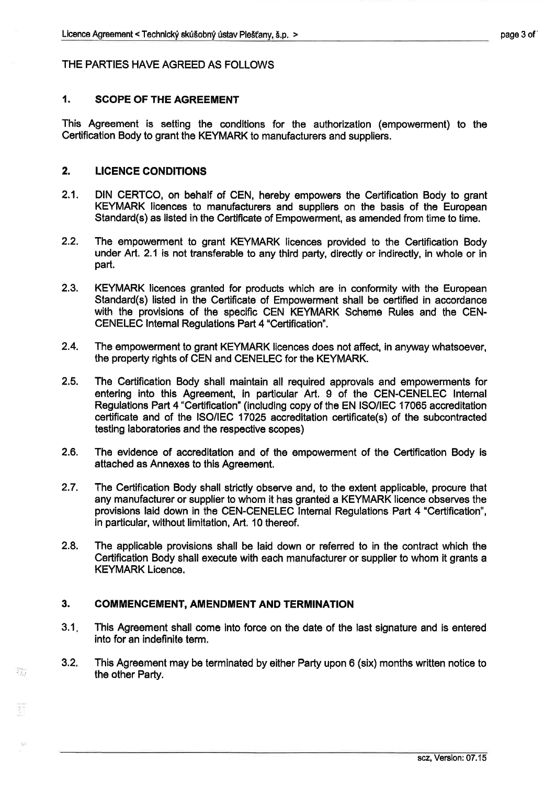#### THE PARTIES HAVE AGREED AS FOLLOWS

### 1. SCOPE OF THE AGREEMENT

This Agreement ís setting the conditions for the authorization (empowerment) to the Gertification Body to grant the KEYMARK to manufacturers and suppliers.

#### 2. LICENCE CONDITIONS

- 2.1. DIN CERTCO, on behalf of CEN, hereby empowers the Certification Body to grant KEYMARK licences to manufacturers and suppliers on the basis of the European Standard(s) as listed in the Certificate of Empowerment, as amended from time to time.
- 2.2. The empowerment to grant KEYMARK licences provided to the Certification Body under Art. 2.1 is not transferable to any third party, directly or indirectly, in whole or in part.
- 2.3. KEYMARK licences granted for products which are in conformity with the European Standard(s) listed in the Certificate of Empowerment shall be certified in accordance with the provisions of the specific CEN KEYMARK Scheme Rules and the CEN-CENELEC lntemal Regulations Part 4 "Certification".
- 2.4. The empowerment to grant KEYMARK licences does not affect, in anyway whatsoever, the property rights of CEN and CENELEC for the KEYMARK.
- 2.5. The Certification Body shall maintain all required approvals and empowerments for entering into this Agreement, in particular Art. 9 of the CEN-CENELEC Internal Regulations Part 4 "Certification" (inoluding copy of the EN ISO/!EC 17065 accreditation certificate and of the ISO/IEC 17025 accredltation certificate(s) of the subcontracted testing laboratories and the respective scopes)
- 2.6. The evidence of accreditation and of the empowerment of the Certification Body is attached as Annexes to this Agreement.
- 2.7. The Certification Body shall strictly observe and, to the extent applicable, procure that any manufacturer or supplier to whom it has granted a KEYMARK licence observes the provisions laid down in the CEN-CENELEC Internal Regulations Part 4 "Certification", in particular, without limitation, Art. 10 thereof.
- 2.8. The applicable provisions shall be laid down or referred to in the contract which the Certification Body shall execute with each manufacturer or supplier to whom lt grants a KEYMARK Licence.

#### 3. COMMENCEMENT, AMENDMENT AND TERMINATION

 $?^{j}$ 

- 3.1 This Agreement shall come into force on the date of the last signature and is entered into for an indefinite term.
- 3.2. This Agreement may be terminated by either Party upon 6 (six) months written notice to the other Party.

scz, Version:07.15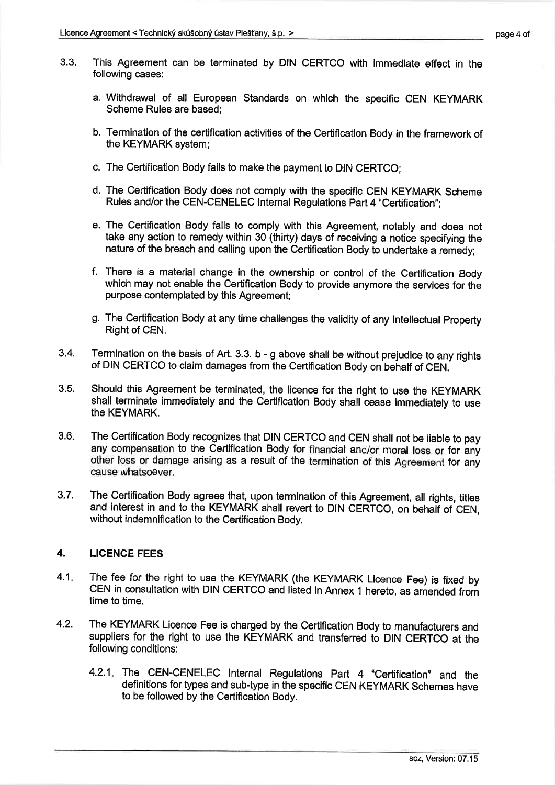- 3.3. This Agreement can be terminated by DIN CERTCO with immediate effect in the following cases:
	- a. Withdrawal of all European Standards on which the specific CEN KEYMARK Scheme Rules are based;
	- b. Termination of the certification activities of the Certification Body in the framework of the KEYMARK system;
	- c. The Certification Body fails to make the payment to DIN CERTCO;
	- d. The Certificatlon Body does not comply with the specific CEN KEYMARK Scheme Rules and/or the CEN-CENELEC lnternal Regulations Part 4 "Certification";
	- e. The Certification Body fails to comply with this Agreement, notably and does not take any action to remedy within 30 (thirty) days of receiving a notice specifying the nature of the breach and calling upon the Certification Body to undertake a remedy;
	- f. There is a material change in the ownership or control of the Certification Body which may not enable the Certification Body to provide anymore the services for the purpose contemplated by this Agreement;
	- g. The Certification Body at any time challenges the validity of any lntellectual Property Right of CEN.
- 3.4. Termination on the basis of Art. 3.3. b - g above shall be without prejudice to any rights of DIN CERTCO to claim damages from the Certification Body on behalf of CEN.
- 3.5. Should this Agreement be terminated, the licence for the right to use the KEYMARK shall terminate immediately and the Certification Body shall cease immediately to use the KEYMARK.
- The Certification Body recognizes that DIN CERTCO and CEN shall not be liable to pay any compensation to the Certification Body for financial and/or moraI loss or for aný other loss or damage arisíng as a result of the termination of this Agreement for aný cause whatsoever. 3.6
- 3.7. The Certification Body agrees that, upon termination of this Agreement, all rights, tiles and interest in and to the KEYMARK shall revert to DIN CERTCO, on behalf of CEN, without indemnification to the Certification Body.

#### 4. LICENCE FEES

- 4.1. The fee for the right to use the KEYMARK (the KEYMARK Licence Fee) is fixed by CEN in consultation with DIN CERTCO and listed in Annex 1 hereto, as amended from time to time.
- 4.2. The KEYMARK Licence Fee is charged by the Certification Body to manufacturers and suppliers for the right to use the KEYMARK and transferred to DIN CERTCO at the following conditions:
	- 4.2.1. The CEN-CENELEC Internal Regulations Part 4 "Certification" and the definitions for types and sub-type in the specific CEN KEYMARK Schemes have to be followed by the Certification Body.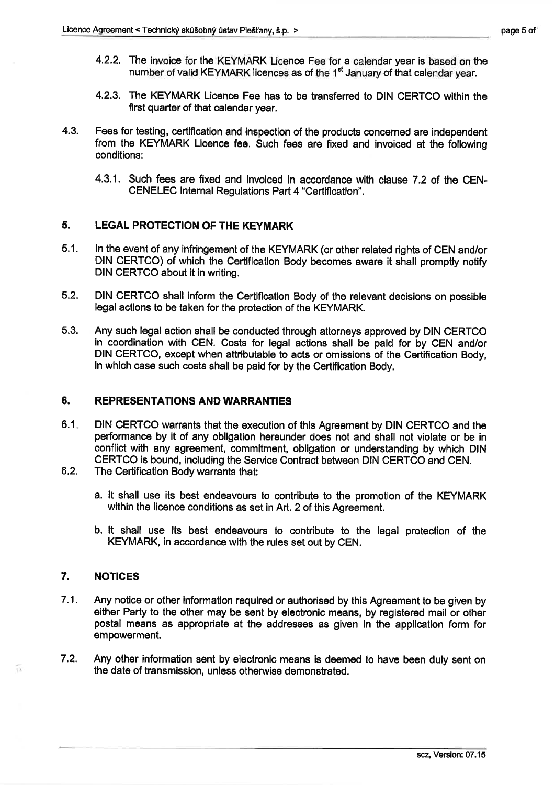- page 5 of
- 4.2.2. The invoice for the KEYMARK Licence Fee for a calendar year is based on the number of valid KEYMARK licences as of the 1<sup>st</sup> January of that calendar year.
- 4.2.3. The KEYMARK Licence Fee has to be transferred to DIN CERTCO within the first quarter of that calendar year,
- 4.3. Fees for testing, certification and inspection of the products concerned are independent from the KEYMARK Licence fee. Such fees are fixed and invoiced at the following conditions:
	- 4.3.1. Such fees are fixed and invoiced in accordance with clause 7.2 of the CEN-CENELEC lnternal Regulations Part 4 "Certification".

#### 5. LEGAL PROTEGTION OF THE KEYMARK

- 5.1. ln the event of any infringement of the KEYMARK (or other related rights of CEN and/or DIN CERTCO) of whlch the Certification Body becomes aware it shall promptly notify DIN CERTGO about it in writing.
- 5.2. DIN CERTCO shall lnform the Certification Body of the relevant decisions on possible legal actions to be taken for the protection of the KEYMARK.
- 5.3. Any such legal action shall be conducted through attorneys approved by DIN CERTCO in coordination with CEN. Costs for legal actions shall be paid for by CEN and/or DIN CERTCO, except when attributable to acts or omissions of the Certification Body, in which case such costs shall be paid for by the Certification Body.

#### 6. REPRESENTATIONS AND WARRANTIES

- 6.1 DIN CERTCO warrants that the execution of this Agreement by DIN CERTCO and the performance by it of any obligation hereunder does not and shall not violate or be ln conflict with any agreement, commitment, obligation or understanding by which DIN CERTCO is bound, including the Service Contract between DIN CERTCO and CEN.
- The Certification Body warrants that: ô.2.
	- a. lt shall use its best endeavours to contribute to the promotion of the KEYMARK within the licence conditions as set in Art. 2 of this Agreement.
	- b. lt shall use its best endeavours to contribute to the legal protection of the KEYMARK, in accordance with the rules set out by CEN.

#### 7. NOTICES

- 7.1. Any notice or other information required or authorised by this Agreement to be given by either Party to the other may be sent by electronic means, by registered mail or other postal means as appropriate at the addresses as given in the application form for empowerment.
- Any other information sent by electronic means is deemed to have been duly sent on the date of transmission, unless otherwise demonstrated. 7.2.